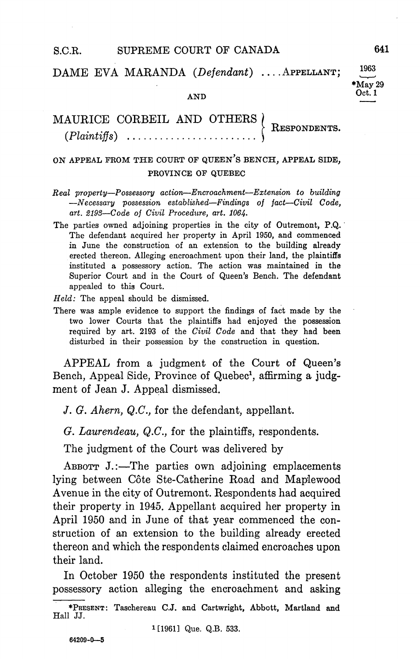DAME EVA MARANDA (Defendant) .... APPELLANT;

## AND Oct.

## MAURICE CORBEIL AND OTHERS ( RESPONDENTS  $(Plaintiffs)$  ................

## ON APPEAL FROM THE COURT OF QUEEN'S BENCH, APPEAL SIDE, PROVINCE OF QUEBEC

- $Real$  property-Possessory action-Encroachment-Extension to building  $-Necessary$  possession established-Findings of fact-Civil Code, art. 2193-Code of Civil Procedure, art. 1064.
- The parties owned adjoining properties in the city of Outremont, P.Q. The defendant acquired her property in April 1950, and commenced in June the construction of an extension to the building already erected thereon. Alleging encroachment upon their land, the plaintiffs instituted a possessory action. The action was maintained in the Superior Court and in the Court of Queen's Bench. The defendant appealed to this Court

 $Held$ : The appeal should be dismissed.

There was ample evidence to support the findings of fact made by the two lower Courts that the plaintiffs had enjoyed the possession required by art. 2193 of the Civil Code and that they had been disturbed in their possession by the construction in question

APPEAL from a judgment of the Court of Queen's Bench, Appeal Side, Province of Quebec<sup>1</sup>, affirming a judgment of Jean J. Appeal dismissed.

J. G. Ahern,  $Q.C.$ , for the defendant, appellant.

 $G.$  Laurendeau,  $Q.C.$  for the plaintiffs, respondents.

The judgment of the Court was delivered by

ABBOTT  $J$ .:—The parties own adjoining emplacements lying between Côte Ste-Catherine Road and Maplewood Avenue in the city of Outremont. Respondents had acquired their property in 1945 Appellant acquired her property in April 1950 and in June of that year commenced the con struction of an extension to the building already erected thereon and which the respondents claimed encroaches upon their land

In October 1950 the respondents instituted the present possessory action alleging the encroachment and asking

<sup>1</sup>[1961] Que. Q.B. 533.

1963  $*$ May 29

<sup>\*</sup>PRESENT: Taschereau C.J. and Cartwright, Abbott, Martland and Hall JJ